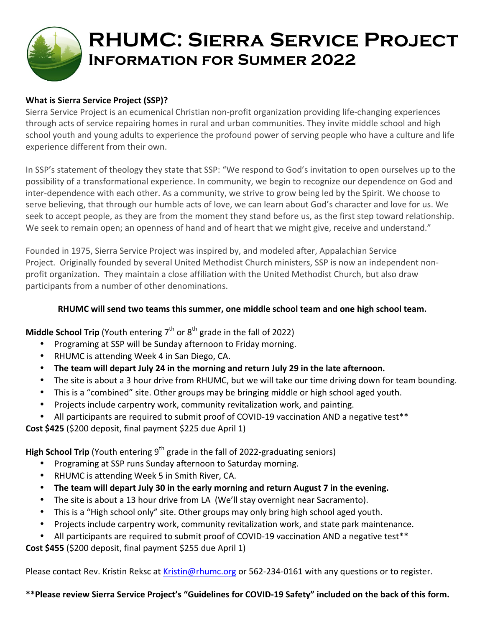

# **RHUMC: Sierra Service Project Information for Summer 2022**

## **What is Sierra Service Project (SSP)?**

Sierra Service Project is an ecumenical Christian non-profit organization providing life-changing experiences through acts of service repairing homes in rural and urban communities. They invite middle school and high school youth and young adults to experience the profound power of serving people who have a culture and life experience different from their own.

In SSP's statement of theology they state that SSP: "We respond to God's invitation to open ourselves up to the possibility of a transformational experience. In community, we begin to recognize our dependence on God and inter-dependence with each other. As a community, we strive to grow being led by the Spirit. We choose to serve believing, that through our humble acts of love, we can learn about God's character and love for us. We seek to accept people, as they are from the moment they stand before us, as the first step toward relationship. We seek to remain open; an openness of hand and of heart that we might give, receive and understand."

Founded in 1975, Sierra Service Project was inspired by, and modeled after, Appalachian Service Project. Originally founded by several United Methodist Church ministers, SSP is now an independent nonprofit organization. They maintain a close affiliation with the United Methodist Church, but also draw participants from a number of other denominations.

### RHUMC will send two teams this summer, one middle school team and one high school team.

## **Middle School Trip** (Youth entering  $7<sup>th</sup>$  or  $8<sup>th</sup>$  grade in the fall of 2022)

- Programing at SSP will be Sunday afternoon to Friday morning.
- RHUMC is attending Week 4 in San Diego, CA.
- The team will depart July 24 in the morning and return July 29 in the late afternoon.
- The site is about a 3 hour drive from RHUMC, but we will take our time driving down for team bounding.
- This is a "combined" site. Other groups may be bringing middle or high school aged youth.
- Projects include carpentry work, community revitalization work, and painting.
- All participants are required to submit proof of COVID-19 vaccination AND a negative test\*\*

### **Cost \$425** (\$200 deposit, final payment \$225 due April 1)

**High School Trip** (Youth entering  $9^{th}$  grade in the fall of 2022-graduating seniors)

- Programing at SSP runs Sunday afternoon to Saturday morning.
- RHUMC is attending Week 5 in Smith River, CA.
- The team will depart July 30 in the early morning and return August 7 in the evening.
- The site is about a 13 hour drive from LA (We'll stay overnight near Sacramento).
- This is a "High school only" site. Other groups may only bring high school aged youth.
- Projects include carpentry work, community revitalization work, and state park maintenance.
- All participants are required to submit proof of COVID-19 vaccination AND a negative test\*\*

**Cost \$455** (\$200 deposit, final payment \$255 due April 1)

Please contact Rev. Kristin Reksc at Kristin@rhumc.org or 562-234-0161 with any questions or to register.

\*\*Please review Sierra Service Project's "Guidelines for COVID-19 Safety" included on the back of this form.